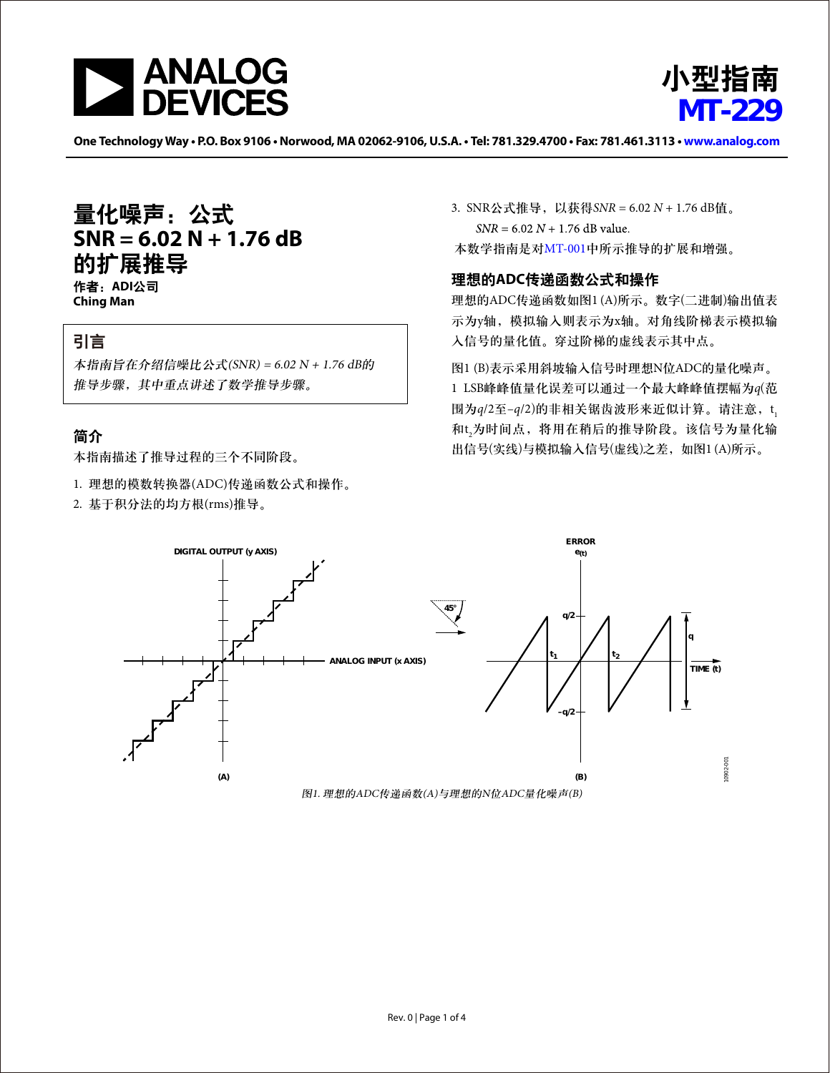



One Technology Way . P.O. Box 9106 . Norwood, MA 02062-9106, U.S.A. . Tel: 781.329.4700 . Fax: 781.461.3113 . www.analog.com

# 量化噪声:公式 **SNR = 6.02 N + 1.76 dB** 的扩展推导

作者:**ADI**公司 **Ching Man** 

### 引言

本指南旨在介绍信噪比公式(SNR) = 6.02 N + 1.76 dB的 推导步骤,其中重点讲述了数学推导步骤。

### 简介

本指南描述了推导过程的三个不同阶段。

- 1. 理想的模数转换器(ADC)传递函数公式和操作。
- 2. 基于积分法的均方根(rms)推导。

3. SNR公式推导,以获得*SNR* = 6.02 *N* + 1.76 dB值。  $SNR = 6.02 N + 1.76 dB$  value. 本数学指南是对[MT-001](http://www.analog.com/zh/mt-001)中所示推导的扩展和增强。

#### 理想的**ADC**传递函数公式和操作

理想的ADC传递函数如图1 (A)所示。数字(二进制)输出值表 示为y轴,模拟输入则表示为x轴。对角线阶梯表示模拟输 入信号的量化值。穿过阶梯的虚线表示其中点。

图1 (B)表示采用斜坡输入信号时理想N位ADC的量化噪声。 1 LSB峰峰值量化误差可以通过一个最大峰峰值摆幅为*q*(范 围为q/2至-q/2)的非相关锯齿波形来近似计算。请注意,t<sub>i</sub> 和t 2 为时间点,将用在稍后的推导阶段。该信号为量化输 出信号(实线)与模拟输入信号(虚线)之差,如图1 (A)所示。

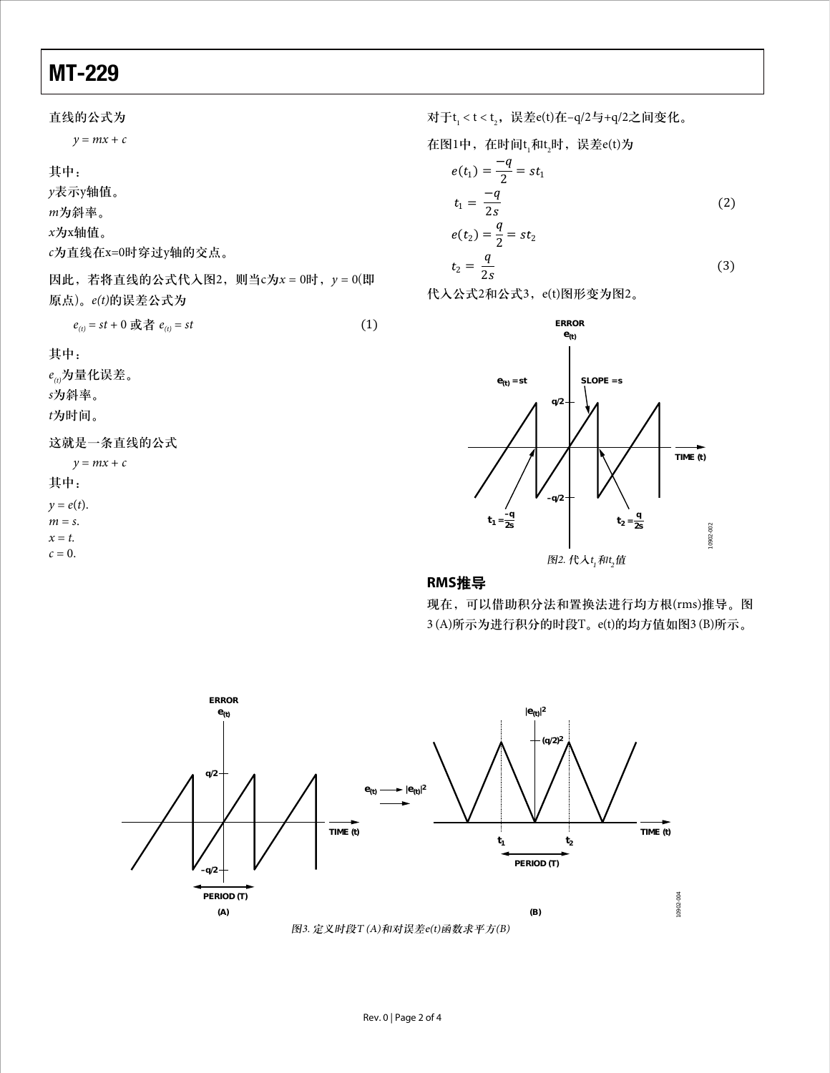## MT-229

*y* = *mx* + *c*  $e_{(t)} = st + 0$  或者  $e_{(t)} = st$  (1) *y* = *mx* + *c*  $y = e(t)$ . *m* = *s*.  $x = t$ .  $c = 0$ . 直线的公式为 其中: *y*表示y轴值。 *m*为斜率。 *x*为x轴值。 *c*为直线在x=0时穿过y轴的交点。 因此,若将直线的公式代入图2,则当c为*x* = 0时,*y* = 0(即 原点)。*e(t)*的误差公式为 其中: *e(t)*为量化误差。 *s*为斜率。 *t*为时间。 这就是一条直线的公式 其中:

对于t<sub>1</sub><t<t<sub>2</sub>,误差e(t)在-q/2与+q/2之间变化。

在図1中,在时向t<sub>1</sub>和t<sub>2</sub>时,ú是
$$
\pm
$$
e(t)为

$$
e(t_1) = \frac{-q}{2} = st_1
$$
  

$$
t_1 = \frac{-q}{2s}
$$
 (2)

$$
e(t_2) = \frac{1}{2} = st_2
$$
  
\n
$$
t_2 = \frac{q}{2s}
$$
\n(3)

代入公式2和公式3,e(t)图形变为图2。



#### **RMS**推导

现在,可以借助积分法和置换法进行均方根(rms)推导。图 3 (A)所示为进行积分的时段T。e(t)的均方值如图3 (B)所示。

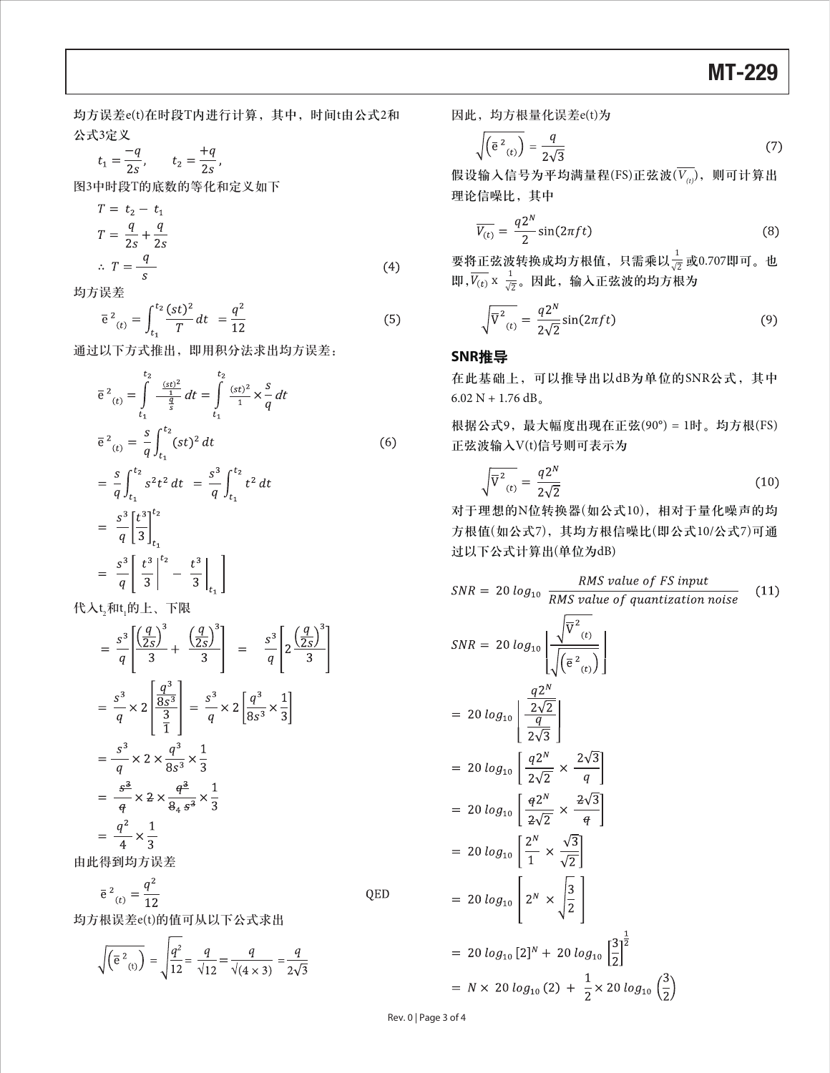均方误差e(t)在时段T内进行计算,其中,时间t由公式2和 公式3定义

$$
t_1 = \frac{-q}{2s}
$$
,  $t_2 = \frac{+q}{2s}$ ,

图3中时段T的底数的等化和定义如下

$$
T = t_2 - t_1
$$
  
\n
$$
T = \frac{q}{2s} + \frac{q}{2s}
$$
  
\n
$$
\therefore T = \frac{q}{s}
$$
 (4)

均方误差

$$
\overline{e}^{2}_{(t)} = \int_{t_1}^{t_2} \frac{(st)^2}{T} dt = \frac{q^2}{12}
$$
 (5)

通过以下方式推出,即用积分法求出均方误差:

$$
\overline{e}^{2}_{(t)} = \int_{t_1}^{t_2} \frac{\frac{(st)^2}{4}}{\frac{q}{s}} dt = \int_{t_1}^{t_2} \frac{(st)^2}{4} \times \frac{s}{q} dt
$$
\n
$$
\overline{e}^{2}_{(t)} = \frac{s}{q} \int_{t_1}^{t_2} (st)^2 dt
$$
\n
$$
= \frac{s}{q} \int_{t_1}^{t_2} s^2 t^2 dt = \frac{s^3}{q} \int_{t_1}^{t_2} t^2 dt
$$
\n
$$
= \frac{s^3}{q} \left[ \frac{t^3}{3} \right]_{t_1}^{t_2}
$$
\n
$$
= \frac{s^3}{q} \left[ \frac{t^3}{3} \right]_{t_1}^{t_2} - \frac{t^3}{3} \Big|_{t_1} \Big]
$$
\n(6)

代入t<sub>2</sub>和t<sub>1</sub>的上、下限

$$
= \frac{s^3}{q} \left[ \frac{\left(\frac{q}{2s}\right)^3}{3} + \frac{\left(\frac{q}{2s}\right)^3}{3} \right] = \frac{s^3}{q} \left[ 2 \frac{\left(\frac{q}{2s}\right)^3}{3} \right]
$$
  

$$
= \frac{s^3}{q} \times 2 \left[ \frac{\frac{q^3}{8s^3}}{\frac{3}{1}} \right] = \frac{s^3}{q} \times 2 \left[ \frac{q^3}{8s^3} \times \frac{1}{3} \right]
$$
  

$$
= \frac{s^3}{q} \times 2 \times \frac{q^3}{8s^3} \times \frac{1}{3}
$$
  

$$
= \frac{\frac{s^3}{q}}{q} \times 2 \times \frac{q^3}{84s^3} \times \frac{1}{3}
$$
  

$$
= \frac{q^2}{4} \times \frac{1}{3}
$$

由此得到均方误差

 $\overline{e}^{2}_{(t)} = \frac{q^{2}}{12}$ QED

均方根误差e(t)的值可从以下公式求出

$$
\sqrt{\left(\overline{e}^{2}_{(t)}\right)} = \sqrt{\frac{q^{2}}{12}} = \frac{q}{\sqrt{12}} = \frac{q}{\sqrt{(4 \times 3)}} = \frac{q}{2\sqrt{3}}
$$

因此,均方根量化误差e(t)为

$$
\sqrt{\left(\overline{e}^2_{(t)}\right)} = \frac{q}{2\sqrt{3}}\tag{7}
$$

假设输入信号为平均满量程(FS)正弦波( $\overline{V_{(t)}}$ ), 则可计算出 理论信噪比,其中

$$
\overline{V_{(t)}} = \frac{q2^N}{2} \sin(2\pi ft) \tag{8}
$$

要将正弦波转换成均方根值,只需乘以 $\frac{1}{\sqrt{2}}$ 或0.707即可。也 即, $\overline{V_{(t)}}$  x  $\frac{1}{\sqrt{2}}$ 。因此,输入正弦波的均方根为

$$
\sqrt{\overline{V}^2_{(t)}} = \frac{q2^N}{2\sqrt{2}} \sin(2\pi ft) \tag{9}
$$

#### **SNR**推导

在此基础上,可以推导出以dB为单位的SNR公式,其中 6.02 N + 1.76 dB<sub>o</sub>

根据公式9,最大幅度出现在正弦(90°) = 1时。均方根(FS) 正弦波输入V(t)信号则可表示为

$$
\sqrt{\overline{V}^2_{(t)}} = \frac{q2^N}{2\sqrt{2}}\tag{10}
$$

对于理想的N位转换器(如公式10),相对于量化噪声的均 方根值(如公式7),其均方根信噪比(即公式10/公式7)可通 过以下公式计算出(单位为dB)

$$
SNR = 20 \log_{10} \frac{RMS \text{ value of } FS \text{ input}}{RMS \text{ value of quantization noise}}
$$
(11)  
\n
$$
SNR = 20 \log_{10} \left[ \frac{\sqrt{\overline{V}^2_{(t)}}}{\sqrt{(\overline{e}^2_{(t)})}} \right]
$$
  
\n
$$
= 20 \log_{10} \left[ \frac{q2^N}{\frac{2\sqrt{2}}{2\sqrt{3}}} \right]
$$
  
\n
$$
= 20 \log_{10} \left[ \frac{q2^N}{2\sqrt{2}} \times \frac{2\sqrt{3}}{q} \right]
$$
  
\n
$$
= 20 \log_{10} \left[ \frac{q2^N}{2\sqrt{2}} \times \frac{2\sqrt{3}}{q} \right]
$$
  
\n
$$
= 20 \log_{10} \left[ \frac{2^N}{1} \times \frac{\sqrt{3}}{\sqrt{2}} \right]
$$
  
\n
$$
= 20 \log_{10} \left[ 2^N \times \sqrt{\frac{3}{2}} \right]
$$
  
\n
$$
= 20 \log_{10} [2]^N + 20 \log_{10} \left[ \frac{3}{2} \right]^{\frac{1}{2}}
$$
  
\n
$$
= N \times 20 \log_{10} (2) + \frac{1}{2} \times 20 \log_{10} \left( \frac{3}{2} \right)
$$